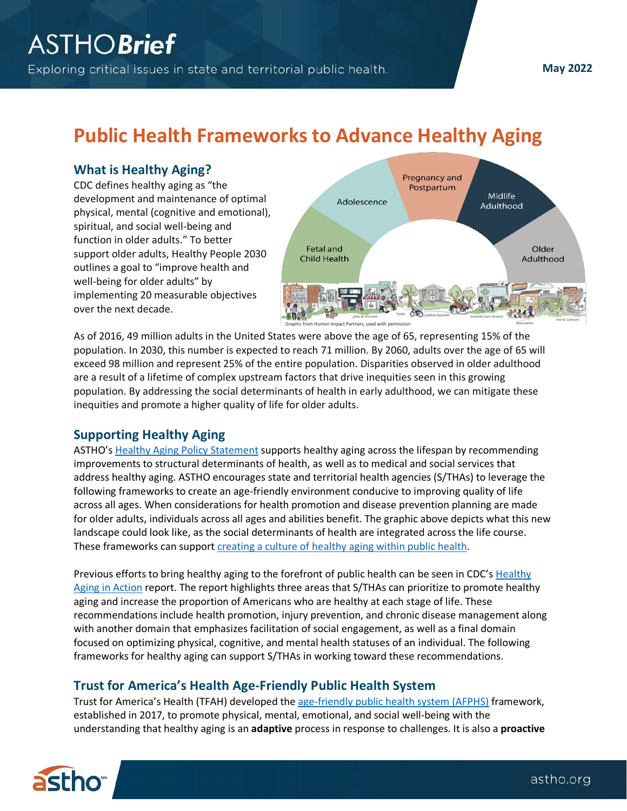**May 2022**

# **Public Health Frameworks to Advance Healthy Aging**

#### **What is Healthy Aging?**

CDC defines healthy aging as "the development and maintenance of optimal physical, mental (cognitive and emotional), spiritual, and social well-being and function in older adults." To better support older adults, Healthy People 2030 outlines a goal to "improve health and well-being for older adults" by implementing 20 measurable objectives over the next decade.



As of 2016, 49 million adults in the United States were above the age of 65, representing 15% of the population. In 2030, this number is expected to reach 71 million. By 2060, adults over the age of 65 will exceed 98 million and represent 25% of the entire population. Disparities observed in older adulthood are a result of a lifetime of complex upstream factors that drive inequities seen in this growing population. By addressing the social determinants of health in early adulthood, we can mitigate these inequities and promote a higher quality of life for older adults.

## **Supporting Healthy Aging**

ASTHO'[s Healthy Aging Policy Statement](https://www.astho.org/About/Policy-and-Position-Statements/Healthy-Aging-Policy-Statement/) supports healthy aging across the lifespan by recommending improvements to structural determinants of health, as well as to medical and social services that address healthy aging. ASTHO encourages state and territorial health agencies (S/THAs) to leverage the following frameworks to create an age-friendly environment conducive to improving quality of life across all ages. When considerations for health promotion and disease prevention planning are made for older adults, individuals across all ages and abilities benefit. The graphic above depicts what this new landscape could look like, as the social determinants of health are integrated across the life course. These frameworks can support creating [a culture of healthy aging within public health.](https://journals.lww.com/jphmp/fulltext/2021/03000/creating_a_culture_of_healthy_aging_in_public.17.aspx)

Previous efforts to bring healthy aging to the forefront of public health can be seen in CDC's Healthy [Aging in Action](https://www.cdc.gov/aging/pdf/healthy-aging-in-action508.pdf) report. The report highlights three areas that S/THAs can prioritize to promote healthy aging and increase the proportion of Americans who are healthy at each stage of life. These recommendations include health promotion, injury prevention, and chronic disease management along with another domain that emphasizes facilitation of social engagement, as well as a final domain focused on optimizing physical, cognitive, and mental health statuses of an individual. The following frameworks for healthy aging can support S/THAs in working toward these recommendations.

## **Trust for America's Health Age-Friendly Public Health System**

Trust for America's Health (TFAH) developed the [age-friendly public health system \(AFPHS\)](https://www.tfah.org/initiatives/age-friendly-public-health/) framework, established in 2017, to promote physical, mental, emotional, and social well-being with the understanding that healthy aging is an **adaptive** process in response to challenges. It is also a **proactive**